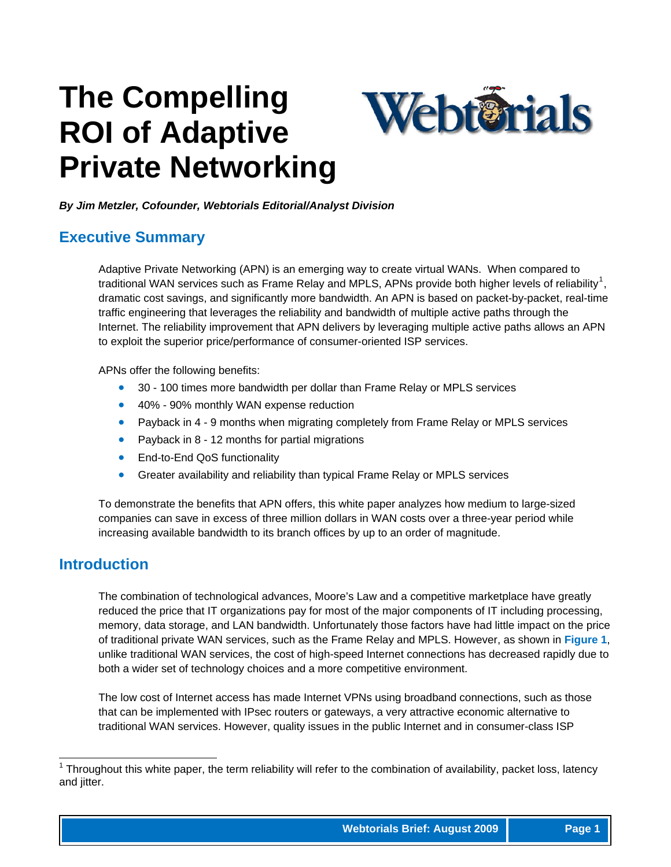# **The Compelling ROI of Adaptive Private Networking**



*By Jim Metzler, Cofounder, Webtorials Editorial/Analyst Division*

#### **Executive Summary**

Adaptive Private Networking (APN) is an emerging way to create virtual WANs. When compared to traditional WAN services such as Frame Relay and MPLS, APNs provide both higher levels of reliability<sup>[1](#page-0-0)</sup>, dramatic cost savings, and significantly more bandwidth. An APN is based on packet-by-packet, real-time traffic engineering that leverages the reliability and bandwidth of multiple active paths through the Internet. The reliability improvement that APN delivers by leveraging multiple active paths allows an APN to exploit the superior price/performance of consumer-oriented ISP services.

APNs offer the following benefits:

- 30 100 times more bandwidth per dollar than Frame Relay or MPLS services
- 40% 90% monthly WAN expense reduction
- Payback in 4 9 months when migrating completely from Frame Relay or MPLS services
- Payback in 8 12 months for partial migrations
- End-to-End QoS functionality
- Greater availability and reliability than typical Frame Relay or MPLS services

To demonstrate the benefits that APN offers, this white paper analyzes how medium to large-sized companies can save in excess of three million dollars in WAN costs over a three-year period while increasing available bandwidth to its branch offices by up to an order of magnitude.

#### **Introduction**

The combination of technological advances, Moore's Law and a competitive marketplace have greatly reduced the price that IT organizations pay for most of the major components of IT including processing, memory, data storage, and LAN bandwidth. Unfortunately those factors have had little impact on the price of traditional private WAN services, such as the Frame Relay and MPLS. However, as shown in **Figure 1**, unlike traditional WAN services, the cost of high-speed Internet connections has decreased rapidly due to both a wider set of technology choices and a more competitive environment.

The low cost of Internet access has made Internet VPNs using broadband connections, such as those that can be implemented with IPsec routers or gateways, a very attractive economic alternative to traditional WAN services. However, quality issues in the public Internet and in consumer-class ISP

<span id="page-0-0"></span> 1 Throughout this white paper, the term reliability will refer to the combination of availability, packet loss, latency and jitter.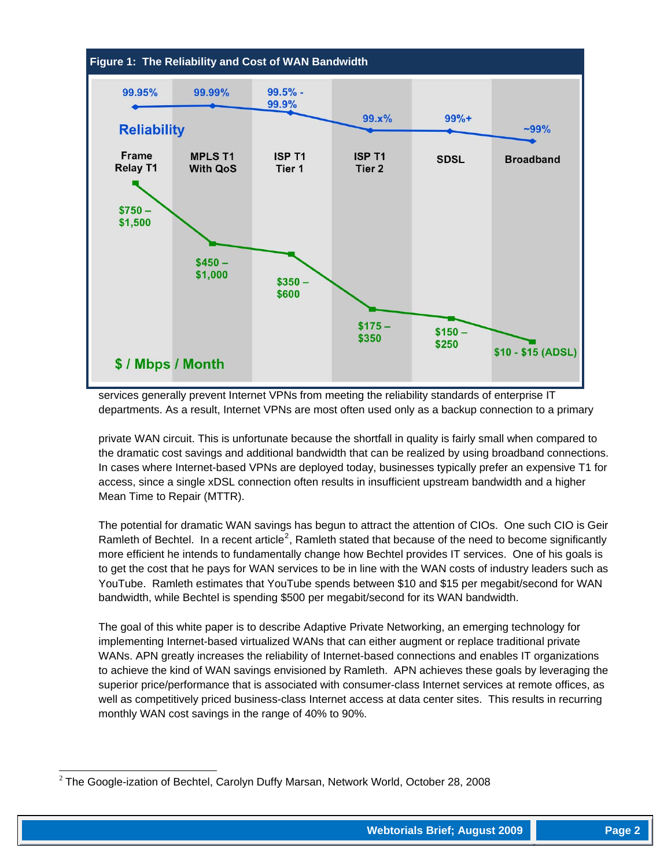

services generally prevent Internet VPNs from meeting the reliability standards of enterprise IT departments. As a result, Internet VPNs are most often used only as a backup connection to a primary

private WAN circuit. This is unfortunate because the shortfall in quality is fairly small when compared to the dramatic cost savings and additional bandwidth that can be realized by using broadband connections. In cases where Internet-based VPNs are deployed today, businesses typically prefer an expensive T1 for access, since a single xDSL connection often results in insufficient upstream bandwidth and a higher Mean Time to Repair (MTTR).

The potential for dramatic WAN savings has begun to attract the attention of CIOs. One such CIO is Geir Ramleth of Bechtel. In a recent article<sup>[2](#page-1-0)</sup>, Ramleth stated that because of the need to become significantly more efficient he intends to fundamentally change how Bechtel provides IT services. One of his goals is to get the cost that he pays for WAN services to be in line with the WAN costs of industry leaders such as YouTube. Ramleth estimates that YouTube spends between \$10 and \$15 per megabit/second for WAN bandwidth, while Bechtel is spending \$500 per megabit/second for its WAN bandwidth.

The goal of this white paper is to describe Adaptive Private Networking, an emerging technology for implementing Internet-based virtualized WANs that can either augment or replace traditional private WANs. APN greatly increases the reliability of Internet-based connections and enables IT organizations to achieve the kind of WAN savings envisioned by Ramleth. APN achieves these goals by leveraging the superior price/performance that is associated with consumer-class Internet services at remote offices, as well as competitively priced business-class Internet access at data center sites. This results in recurring monthly WAN cost savings in the range of 40% to 90%.

<span id="page-1-0"></span>l  $2$  The Google-ization of Bechtel, Carolyn Duffy Marsan, Network World, October 28, 2008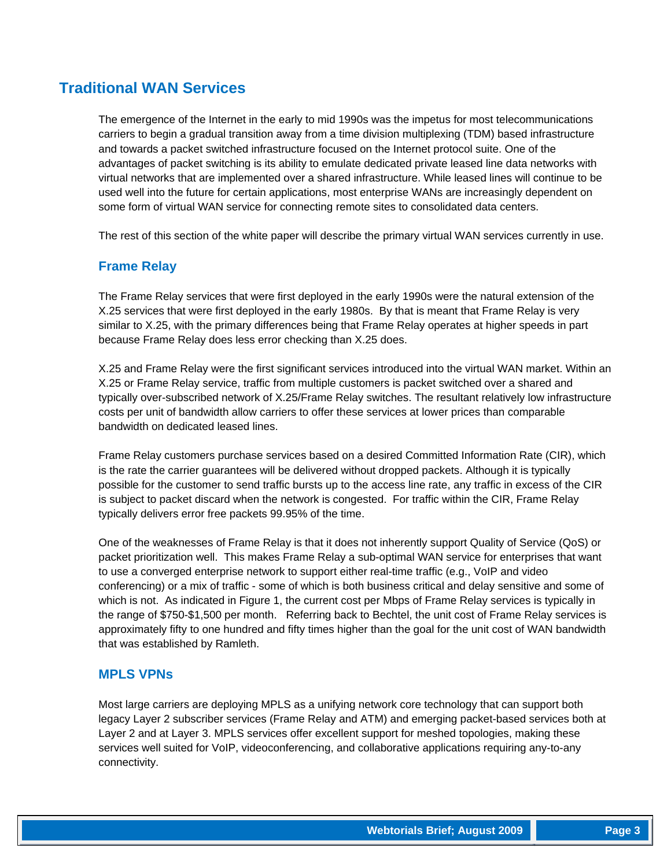## **Traditional WAN Services**

The emergence of the Internet in the early to mid 1990s was the impetus for most telecommunications carriers to begin a gradual transition away from a time division multiplexing (TDM) based infrastructure and towards a packet switched infrastructure focused on the Internet protocol suite. One of the advantages of packet switching is its ability to emulate dedicated private leased line data networks with virtual networks that are implemented over a shared infrastructure. While leased lines will continue to be used well into the future for certain applications, most enterprise WANs are increasingly dependent on some form of virtual WAN service for connecting remote sites to consolidated data centers.

The rest of this section of the white paper will describe the primary virtual WAN services currently in use.

#### **Frame Relay**

The Frame Relay services that were first deployed in the early 1990s were the natural extension of the X.25 services that were first deployed in the early 1980s. By that is meant that Frame Relay is very similar to X.25, with the primary differences being that Frame Relay operates at higher speeds in part because Frame Relay does less error checking than X.25 does.

X.25 and Frame Relay were the first significant services introduced into the virtual WAN market. Within an X.25 or Frame Relay service, traffic from multiple customers is packet switched over a shared and typically over-subscribed network of X.25/Frame Relay switches. The resultant relatively low infrastructure costs per unit of bandwidth allow carriers to offer these services at lower prices than comparable bandwidth on dedicated leased lines.

Frame Relay customers purchase services based on a desired Committed Information Rate (CIR), which is the rate the carrier guarantees will be delivered without dropped packets. Although it is typically possible for the customer to send traffic bursts up to the access line rate, any traffic in excess of the CIR is subject to packet discard when the network is congested. For traffic within the CIR, Frame Relay typically delivers error free packets 99.95% of the time.

One of the weaknesses of Frame Relay is that it does not inherently support Quality of Service (QoS) or packet prioritization well. This makes Frame Relay a sub-optimal WAN service for enterprises that want to use a converged enterprise network to support either real-time traffic (e.g., VoIP and video conferencing) or a mix of traffic - some of which is both business critical and delay sensitive and some of which is not. As indicated in Figure 1, the current cost per Mbps of Frame Relay services is typically in the range of \$750-\$1,500 per month. Referring back to Bechtel, the unit cost of Frame Relay services is approximately fifty to one hundred and fifty times higher than the goal for the unit cost of WAN bandwidth that was established by Ramleth.

#### **MPLS VPNs**

Most large carriers are deploying MPLS as a unifying network core technology that can support both legacy Layer 2 subscriber services (Frame Relay and ATM) and emerging packet-based services both at Layer 2 and at Layer 3. MPLS services offer excellent support for meshed topologies, making these services well suited for VoIP, videoconferencing, and collaborative applications requiring any-to-any connectivity.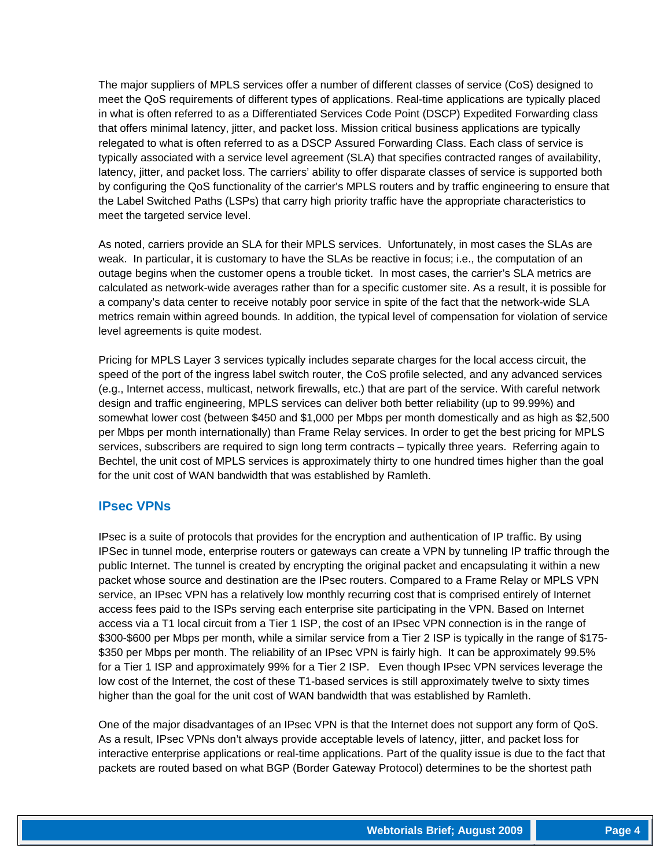The major suppliers of MPLS services offer a number of different classes of service (CoS) designed to meet the QoS requirements of different types of applications. Real-time applications are typically placed in what is often referred to as a Differentiated Services Code Point (DSCP) Expedited Forwarding class that offers minimal latency, jitter, and packet loss. Mission critical business applications are typically relegated to what is often referred to as a DSCP Assured Forwarding Class. Each class of service is typically associated with a service level agreement (SLA) that specifies contracted ranges of availability, latency, jitter, and packet loss. The carriers' ability to offer disparate classes of service is supported both by configuring the QoS functionality of the carrier's MPLS routers and by traffic engineering to ensure that the Label Switched Paths (LSPs) that carry high priority traffic have the appropriate characteristics to meet the targeted service level.

As noted, carriers provide an SLA for their MPLS services. Unfortunately, in most cases the SLAs are weak. In particular, it is customary to have the SLAs be reactive in focus; i.e., the computation of an outage begins when the customer opens a trouble ticket. In most cases, the carrier's SLA metrics are calculated as network-wide averages rather than for a specific customer site. As a result, it is possible for a company's data center to receive notably poor service in spite of the fact that the network-wide SLA metrics remain within agreed bounds. In addition, the typical level of compensation for violation of service level agreements is quite modest.

Pricing for MPLS Layer 3 services typically includes separate charges for the local access circuit, the speed of the port of the ingress label switch router, the CoS profile selected, and any advanced services (e.g., Internet access, multicast, network firewalls, etc.) that are part of the service. With careful network design and traffic engineering, MPLS services can deliver both better reliability (up to 99.99%) and somewhat lower cost (between \$450 and \$1,000 per Mbps per month domestically and as high as \$2,500 per Mbps per month internationally) than Frame Relay services. In order to get the best pricing for MPLS services, subscribers are required to sign long term contracts – typically three years. Referring again to Bechtel, the unit cost of MPLS services is approximately thirty to one hundred times higher than the goal for the unit cost of WAN bandwidth that was established by Ramleth.

#### **IPsec VPNs**

IPsec is a suite of protocols that provides for the encryption and authentication of IP traffic. By using IPSec in tunnel mode, enterprise routers or gateways can create a VPN by tunneling IP traffic through the public Internet. The tunnel is created by encrypting the original packet and encapsulating it within a new packet whose source and destination are the IPsec routers. Compared to a Frame Relay or MPLS VPN service, an IPsec VPN has a relatively low monthly recurring cost that is comprised entirely of Internet access fees paid to the ISPs serving each enterprise site participating in the VPN. Based on Internet access via a T1 local circuit from a Tier 1 ISP, the cost of an IPsec VPN connection is in the range of \$300-\$600 per Mbps per month, while a similar service from a Tier 2 ISP is typically in the range of \$175-\$350 per Mbps per month. The reliability of an IPsec VPN is fairly high. It can be approximately 99.5% for a Tier 1 ISP and approximately 99% for a Tier 2 ISP. Even though IPsec VPN services leverage the low cost of the Internet, the cost of these T1-based services is still approximately twelve to sixty times higher than the goal for the unit cost of WAN bandwidth that was established by Ramleth.

One of the major disadvantages of an IPsec VPN is that the Internet does not support any form of QoS. As a result, IPsec VPNs don't always provide acceptable levels of latency, jitter, and packet loss for interactive enterprise applications or real-time applications. Part of the quality issue is due to the fact that packets are routed based on what BGP (Border Gateway Protocol) determines to be the shortest path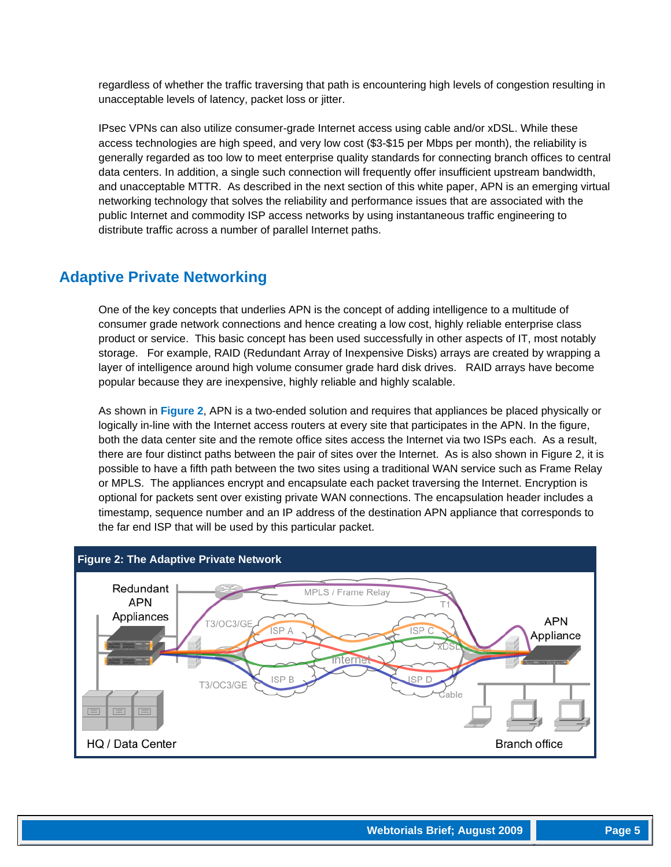regardless of whether the traffic traversing that path is encountering high levels of congestion resulting in unacceptable levels of latency, packet loss or jitter.

IPsec VPNs can also utilize consumer-grade Internet access using cable and/or xDSL. While these access technologies are high speed, and very low cost (\$3-\$15 per Mbps per month), the reliability is generally regarded as too low to meet enterprise quality standards for connecting branch offices to central data centers. In addition, a single such connection will frequently offer insufficient upstream bandwidth, and unacceptable MTTR. As described in the next section of this white paper, APN is an emerging virtual networking technology that solves the reliability and performance issues that are associated with the public Internet and commodity ISP access networks by using instantaneous traffic engineering to distribute traffic across a number of parallel Internet paths.

## **Adaptive Private Networking**

One of the key concepts that underlies APN is the concept of adding intelligence to a multitude of consumer grade network connections and hence creating a low cost, highly reliable enterprise class product or service. This basic concept has been used successfully in other aspects of IT, most notably storage. For example, RAID (Redundant Array of Inexpensive Disks) arrays are created by wrapping a layer of intelligence around high volume consumer grade hard disk drives. RAID arrays have become popular because they are inexpensive, highly reliable and highly scalable.

As shown in **Figure 2**, APN is a two-ended solution and requires that appliances be placed physically or logically in-line with the Internet access routers at every site that participates in the APN. In the figure, both the data center site and the remote office sites access the Internet via two ISPs each. As a result, there are four distinct paths between the pair of sites over the Internet. As is also shown in Figure 2, it is possible to have a fifth path between the two sites using a traditional WAN service such as Frame Relay or MPLS. The appliances encrypt and encapsulate each packet traversing the Internet. Encryption is optional for packets sent over existing private WAN connections. The encapsulation header includes a timestamp, sequence number and an IP address of the destination APN appliance that corresponds to the far end ISP that will be used by this particular packet.

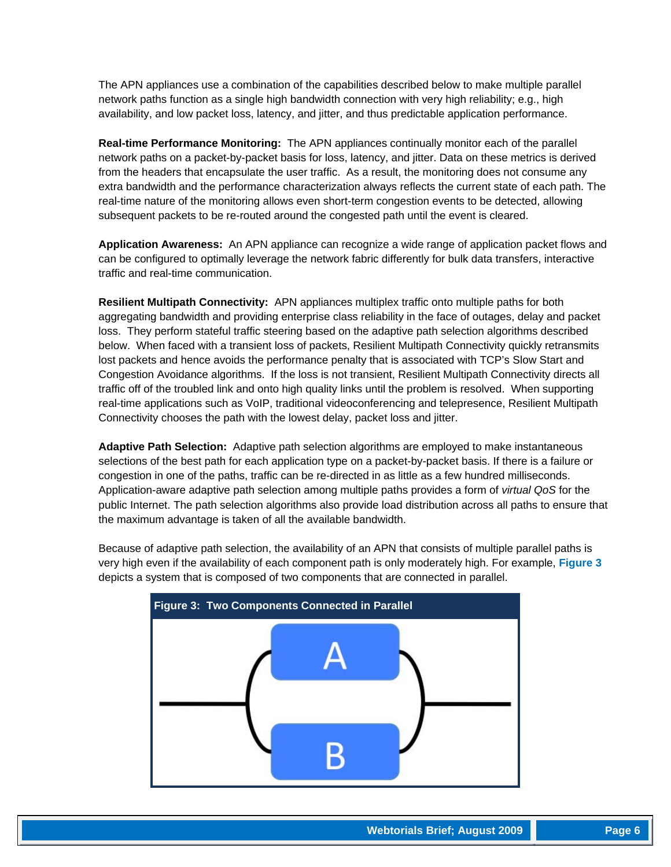The APN appliances use a combination of the capabilities described below to make multiple parallel network paths function as a single high bandwidth connection with very high reliability; e.g., high availability, and low packet loss, latency, and jitter, and thus predictable application performance.

**Real-time Performance Monitoring:** The APN appliances continually monitor each of the parallel network paths on a packet-by-packet basis for loss, latency, and jitter. Data on these metrics is derived from the headers that encapsulate the user traffic. As a result, the monitoring does not consume any extra bandwidth and the performance characterization always reflects the current state of each path. The real-time nature of the monitoring allows even short-term congestion events to be detected, allowing subsequent packets to be re-routed around the congested path until the event is cleared.

**Application Awareness:** An APN appliance can recognize a wide range of application packet flows and can be configured to optimally leverage the network fabric differently for bulk data transfers, interactive traffic and real-time communication.

**Resilient Multipath Connectivity:** APN appliances multiplex traffic onto multiple paths for both aggregating bandwidth and providing enterprise class reliability in the face of outages, delay and packet loss. They perform stateful traffic steering based on the adaptive path selection algorithms described below. When faced with a transient loss of packets, Resilient Multipath Connectivity quickly retransmits lost packets and hence avoids the performance penalty that is associated with TCP's Slow Start and Congestion Avoidance algorithms. If the loss is not transient, Resilient Multipath Connectivity directs all traffic off of the troubled link and onto high quality links until the problem is resolved. When supporting real-time applications such as VoIP, traditional videoconferencing and telepresence, Resilient Multipath Connectivity chooses the path with the lowest delay, packet loss and jitter.

**Adaptive Path Selection:** Adaptive path selection algorithms are employed to make instantaneous selections of the best path for each application type on a packet-by-packet basis. If there is a failure or congestion in one of the paths, traffic can be re-directed in as little as a few hundred milliseconds. Application-aware adaptive path selection among multiple paths provides a form of *virtual QoS* for the public Internet. The path selection algorithms also provide load distribution across all paths to ensure that the maximum advantage is taken of all the available bandwidth.

Because of adaptive path selection, the availability of an APN that consists of multiple parallel paths is very high even if the availability of each component path is only moderately high. For example, **Figure 3** depicts a system that is composed of two components that are connected in parallel.

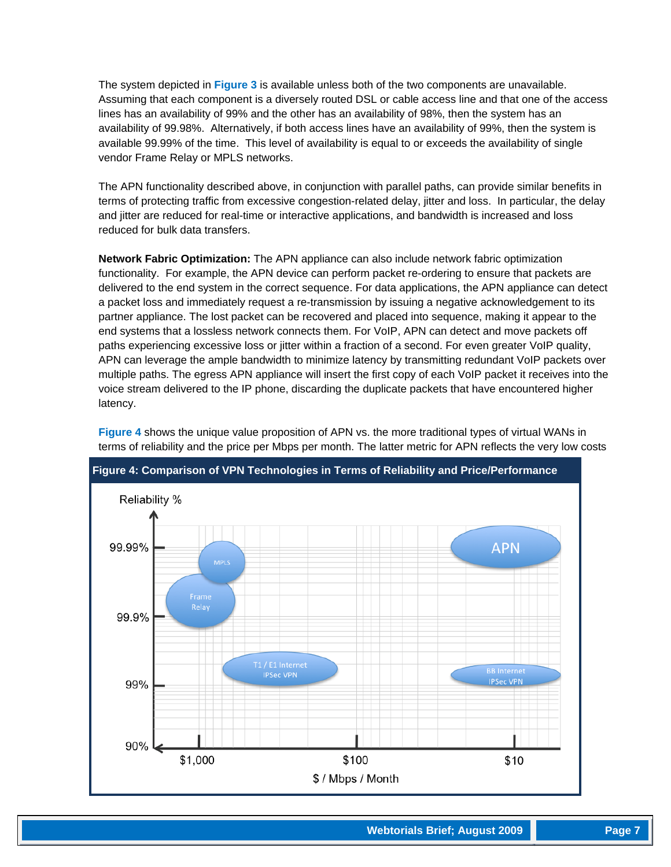The system depicted in **Figure 3** is available unless both of the two components are unavailable. Assuming that each component is a diversely routed DSL or cable access line and that one of the access lines has an availability of 99% and the other has an availability of 98%, then the system has an availability of 99.98%. Alternatively, if both access lines have an availability of 99%, then the system is available 99.99% of the time. This level of availability is equal to or exceeds the availability of single vendor Frame Relay or MPLS networks.

The APN functionality described above, in conjunction with parallel paths, can provide similar benefits in terms of protecting traffic from excessive congestion-related delay, jitter and loss. In particular, the delay and jitter are reduced for real-time or interactive applications, and bandwidth is increased and loss reduced for bulk data transfers.

**Network Fabric Optimization:** The APN appliance can also include network fabric optimization functionality. For example, the APN device can perform packet re-ordering to ensure that packets are delivered to the end system in the correct sequence. For data applications, the APN appliance can detect a packet loss and immediately request a re-transmission by issuing a negative acknowledgement to its partner appliance. The lost packet can be recovered and placed into sequence, making it appear to the end systems that a lossless network connects them. For VoIP, APN can detect and move packets off paths experiencing excessive loss or jitter within a fraction of a second. For even greater VoIP quality, APN can leverage the ample bandwidth to minimize latency by transmitting redundant VoIP packets over multiple paths. The egress APN appliance will insert the first copy of each VoIP packet it receives into the voice stream delivered to the IP phone, discarding the duplicate packets that have encountered higher latency.



**Figure 4** shows the unique value proposition of APN vs. the more traditional types of virtual WANs in terms of reliability and the price per Mbps per month. The latter metric for APN reflects the very low costs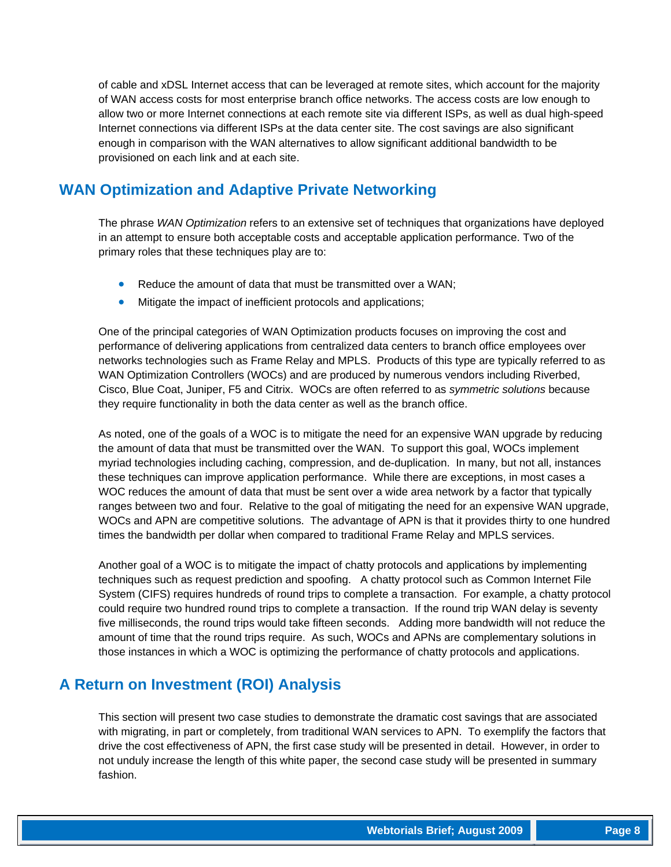of cable and xDSL Internet access that can be leveraged at remote sites, which account for the majority of WAN access costs for most enterprise branch office networks. The access costs are low enough to allow two or more Internet connections at each remote site via different ISPs, as well as dual high-speed Internet connections via different ISPs at the data center site. The cost savings are also significant enough in comparison with the WAN alternatives to allow significant additional bandwidth to be provisioned on each link and at each site.

## **WAN Optimization and Adaptive Private Networking**

The phrase *WAN Optimization* refers to an extensive set of techniques that organizations have deployed in an attempt to ensure both acceptable costs and acceptable application performance. Two of the primary roles that these techniques play are to:

- Reduce the amount of data that must be transmitted over a WAN;
- Mitigate the impact of inefficient protocols and applications;

One of the principal categories of WAN Optimization products focuses on improving the cost and performance of delivering applications from centralized data centers to branch office employees over networks technologies such as Frame Relay and MPLS. Products of this type are typically referred to as WAN Optimization Controllers (WOCs) and are produced by numerous vendors including Riverbed, Cisco, Blue Coat, Juniper, F5 and Citrix. WOCs are often referred to as *symmetric solutions* because they require functionality in both the data center as well as the branch office.

As noted, one of the goals of a WOC is to mitigate the need for an expensive WAN upgrade by reducing the amount of data that must be transmitted over the WAN. To support this goal, WOCs implement myriad technologies including caching, compression, and de-duplication. In many, but not all, instances these techniques can improve application performance. While there are exceptions, in most cases a WOC reduces the amount of data that must be sent over a wide area network by a factor that typically ranges between two and four. Relative to the goal of mitigating the need for an expensive WAN upgrade, WOCs and APN are competitive solutions. The advantage of APN is that it provides thirty to one hundred times the bandwidth per dollar when compared to traditional Frame Relay and MPLS services.

Another goal of a WOC is to mitigate the impact of chatty protocols and applications by implementing techniques such as request prediction and spoofing. A chatty protocol such as Common Internet File System (CIFS) requires hundreds of round trips to complete a transaction. For example, a chatty protocol could require two hundred round trips to complete a transaction. If the round trip WAN delay is seventy five milliseconds, the round trips would take fifteen seconds. Adding more bandwidth will not reduce the amount of time that the round trips require. As such, WOCs and APNs are complementary solutions in those instances in which a WOC is optimizing the performance of chatty protocols and applications.

## **A Return on Investment (ROI) Analysis**

This section will present two case studies to demonstrate the dramatic cost savings that are associated with migrating, in part or completely, from traditional WAN services to APN. To exemplify the factors that drive the cost effectiveness of APN, the first case study will be presented in detail. However, in order to not unduly increase the length of this white paper, the second case study will be presented in summary fashion.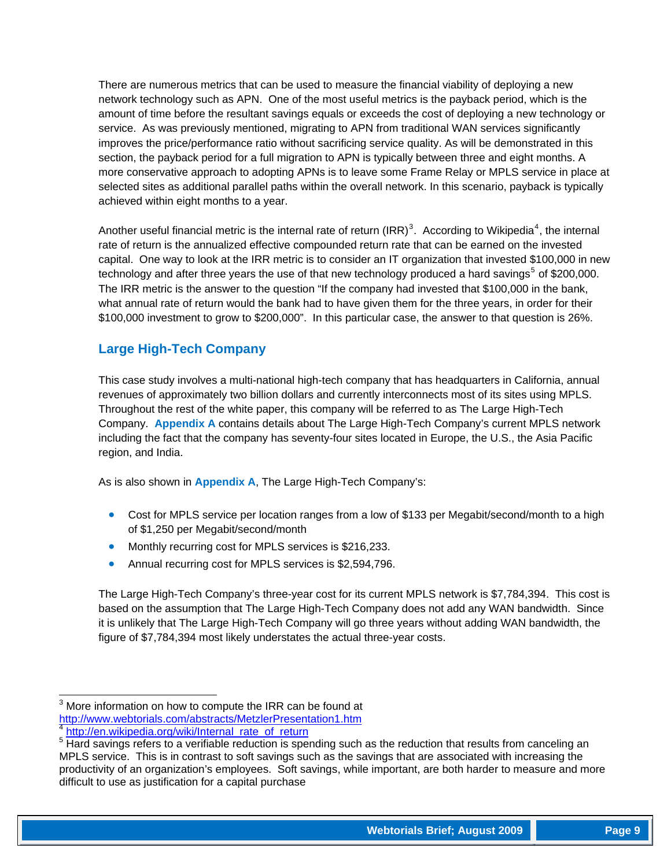There are numerous metrics that can be used to measure the financial viability of deploying a new network technology such as APN. One of the most useful metrics is the payback period, which is the amount of time before the resultant savings equals or exceeds the cost of deploying a new technology or service. As was previously mentioned, migrating to APN from traditional WAN services significantly improves the price/performance ratio without sacrificing service quality. As will be demonstrated in this section, the payback period for a full migration to APN is typically between three and eight months. A more conservative approach to adopting APNs is to leave some Frame Relay or MPLS service in place at selected sites as additional parallel paths within the overall network. In this scenario, payback is typically achieved within eight months to a year.

Another useful financial metric is the internal rate of return (IRR)<sup>[3](#page-8-0)</sup>. According to Wikipedia<sup>[4](#page-8-1)</sup>, the internal rate of return is the annualized effective compounded return rate that can be earned on the invested capital. One way to look at the IRR metric is to consider an IT organization that invested \$100,000 in new technology and after three years the use of that new technology produced a hard savings<sup>[5](#page-8-2)</sup> of \$200,000. The IRR metric is the answer to the question "If the company had invested that \$100,000 in the bank, what annual rate of return would the bank had to have given them for the three years, in order for their \$100,000 investment to grow to \$200,000". In this particular case, the answer to that question is 26%.

#### **Large High-Tech Company**

This case study involves a multi-national high-tech company that has headquarters in California, annual revenues of approximately two billion dollars and currently interconnects most of its sites using MPLS. Throughout the rest of the white paper, this company will be referred to as The Large High-Tech Company. **Appendix A** contains details about The Large High-Tech Company's current MPLS network including the fact that the company has seventy-four sites located in Europe, the U.S., the Asia Pacific region, and India.

As is also shown in **Appendix A**, The Large High-Tech Company's:

- Cost for MPLS service per location ranges from a low of \$133 per Megabit/second/month to a high of \$1,250 per Megabit/second/month
- Monthly recurring cost for MPLS services is \$216,233.
- Annual recurring cost for MPLS services is \$2,594,796.

The Large High-Tech Company's three-year cost for its current MPLS network is \$7,784,394. This cost is based on the assumption that The Large High-Tech Company does not add any WAN bandwidth. Since it is unlikely that The Large High-Tech Company will go three years without adding WAN bandwidth, the figure of \$7,784,394 most likely understates the actual three-year costs.

<span id="page-8-0"></span>**EXECUTE 2018**<br><sup>3</sup> More information on how to compute the IRR can be found at <http://www.webtorials.com/abstracts/MetzlerPresentation1.htm>

[http://en.wikipedia.org/wiki/Internal\\_rate\\_of\\_return](http://en.wikipedia.org/wiki/Internal_rate_of_return)

<span id="page-8-2"></span><span id="page-8-1"></span><sup>&</sup>lt;sup>5</sup> Hard savings refers to a verifiable reduction is spending such as the reduction that results from canceling an MPLS service. This is in contrast to soft savings such as the savings that are associated with increasing the productivity of an organization's employees. Soft savings, while important, are both harder to measure and more difficult to use as justification for a capital purchase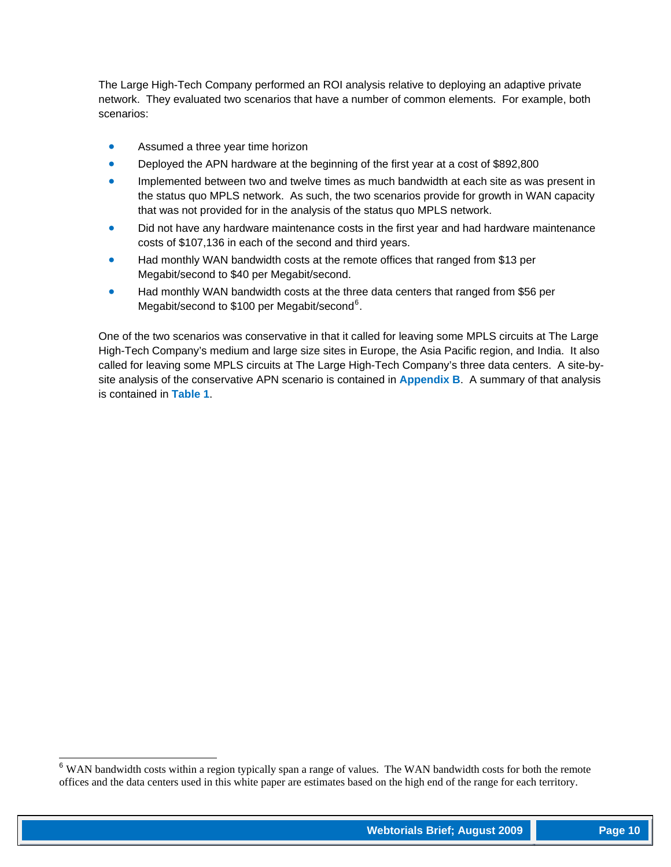The Large High-Tech Company performed an ROI analysis relative to deploying an adaptive private network. They evaluated two scenarios that have a number of common elements. For example, both scenarios:

- Assumed a three year time horizon
- Deployed the APN hardware at the beginning of the first year at a cost of \$892,800
- Implemented between two and twelve times as much bandwidth at each site as was present in the status quo MPLS network. As such, the two scenarios provide for growth in WAN capacity that was not provided for in the analysis of the status quo MPLS network.
- Did not have any hardware maintenance costs in the first year and had hardware maintenance costs of \$107,136 in each of the second and third years.
- Had monthly WAN bandwidth costs at the remote offices that ranged from \$13 per Megabit/second to \$40 per Megabit/second.
- Had monthly WAN bandwidth costs at the three data centers that ranged from \$56 per Megabit/second to \$100 per Megabit/second<sup>[6](#page-9-0)</sup>.

One of the two scenarios was conservative in that it called for leaving some MPLS circuits at The Large High-Tech Company's medium and large size sites in Europe, the Asia Pacific region, and India. It also called for leaving some MPLS circuits at The Large High-Tech Company's three data centers. A site-bysite analysis of the conservative APN scenario is contained in **Appendix B**. A summary of that analysis is contained in **Table 1**.

l

<span id="page-9-0"></span> $6$  WAN bandwidth costs within a region typically span a range of values. The WAN bandwidth costs for both the remote offices and the data centers used in this white paper are estimates based on the high end of the range for each territory.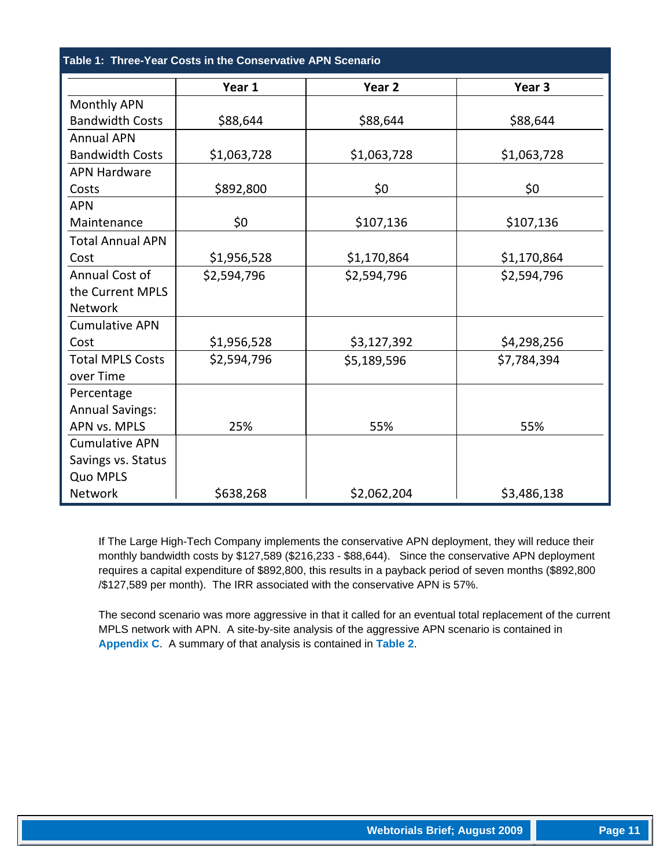**Table 1: Three-Year Costs in the Conservative APN Scenario** 

|                         | Year 1      | Year <sub>2</sub> | Year <sub>3</sub> |
|-------------------------|-------------|-------------------|-------------------|
| Monthly APN             |             |                   |                   |
| <b>Bandwidth Costs</b>  | \$88,644    | \$88,644          | \$88,644          |
| <b>Annual APN</b>       |             |                   |                   |
| <b>Bandwidth Costs</b>  | \$1,063,728 | \$1,063,728       | \$1,063,728       |
| <b>APN Hardware</b>     |             |                   |                   |
| Costs                   | \$892,800   | \$0               | \$0               |
| <b>APN</b>              |             |                   |                   |
| Maintenance             | \$0         | \$107,136         | \$107,136         |
| <b>Total Annual APN</b> |             |                   |                   |
| Cost                    | \$1,956,528 | \$1,170,864       | \$1,170,864       |
| Annual Cost of          | \$2,594,796 | \$2,594,796       | \$2,594,796       |
| the Current MPLS        |             |                   |                   |
| Network                 |             |                   |                   |
| <b>Cumulative APN</b>   |             |                   |                   |
| Cost                    | \$1,956,528 | \$3,127,392       | \$4,298,256       |
| <b>Total MPLS Costs</b> | \$2,594,796 | \$5,189,596       | \$7,784,394       |
| over Time               |             |                   |                   |
| Percentage              |             |                   |                   |
| <b>Annual Savings:</b>  |             |                   |                   |
| APN vs. MPLS            | 25%         | 55%               | 55%               |
| <b>Cumulative APN</b>   |             |                   |                   |
| Savings vs. Status      |             |                   |                   |
| Quo MPLS                |             |                   |                   |
| Network                 | \$638,268   | \$2,062,204       | \$3,486,138       |

If The Large High-Tech Company implements the conservative APN deployment, they will reduce their monthly bandwidth costs by \$127,589 (\$216,233 - \$88,644). Since the conservative APN deployment requires a capital expenditure of \$892,800, this results in a payback period of seven months (\$892,800 /\$127,589 per month). The IRR associated with the conservative APN is 57%.

The second scenario was more aggressive in that it called for an eventual total replacement of the current MPLS network with APN. A site-by-site analysis of the aggressive APN scenario is contained in **Appendix C**. A summary of that analysis is contained in **Table 2**.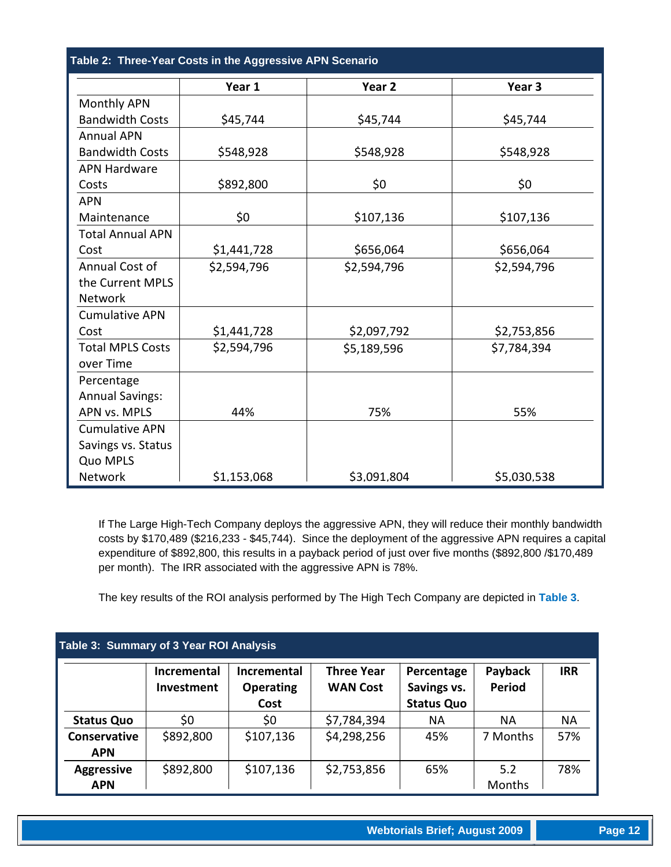|                         | Year 1      | Year <sub>2</sub> | Year 3      |
|-------------------------|-------------|-------------------|-------------|
| Monthly APN             |             |                   |             |
| <b>Bandwidth Costs</b>  | \$45,744    | \$45,744          | \$45,744    |
| <b>Annual APN</b>       |             |                   |             |
| <b>Bandwidth Costs</b>  | \$548,928   | \$548,928         | \$548,928   |
| <b>APN Hardware</b>     |             |                   |             |
| Costs                   | \$892,800   | \$0               | \$0         |
| <b>APN</b>              |             |                   |             |
| Maintenance             | \$0         | \$107,136         | \$107,136   |
| <b>Total Annual APN</b> |             |                   |             |
| Cost                    | \$1,441,728 | \$656,064         | \$656,064   |
| Annual Cost of          | \$2,594,796 | \$2,594,796       | \$2,594,796 |
| the Current MPLS        |             |                   |             |
| <b>Network</b>          |             |                   |             |
| <b>Cumulative APN</b>   |             |                   |             |
| Cost                    | \$1,441,728 | \$2,097,792       | \$2,753,856 |
| <b>Total MPLS Costs</b> | \$2,594,796 | \$5,189,596       | \$7,784,394 |
| over Time               |             |                   |             |
| Percentage              |             |                   |             |
| <b>Annual Savings:</b>  |             |                   |             |
| APN vs. MPLS            | 44%         | 75%               | 55%         |
| <b>Cumulative APN</b>   |             |                   |             |
| Savings vs. Status      |             |                   |             |
| Quo MPLS                |             |                   |             |
| Network                 | \$1,153,068 | \$3,091,804       | \$5,030,538 |

If The Large High-Tech Company deploys the aggressive APN, they will reduce their monthly bandwidth costs by \$170,489 (\$216,233 - \$45,744). Since the deployment of the aggressive APN requires a capital expenditure of \$892,800, this results in a payback period of just over five months (\$892,800 /\$170,489 per month). The IRR associated with the aggressive APN is 78%.

The key results of the ROI analysis performed by The High Tech Company are depicted in **Table 3**.

| Table 3: Summary of 3 Year ROI Analysis |                                  |                                                |                                      |                                                |                          |            |
|-----------------------------------------|----------------------------------|------------------------------------------------|--------------------------------------|------------------------------------------------|--------------------------|------------|
|                                         | <b>Incremental</b><br>Investment | <b>Incremental</b><br><b>Operating</b><br>Cost | <b>Three Year</b><br><b>WAN Cost</b> | Percentage<br>Savings vs.<br><b>Status Quo</b> | Payback<br><b>Period</b> | <b>IRR</b> |
| <b>Status Quo</b>                       | \$0                              | \$0                                            | \$7,784,394                          | <b>NA</b>                                      | <b>NA</b>                | <b>NA</b>  |
| <b>Conservative</b><br><b>APN</b>       | \$892,800                        | \$107,136                                      | \$4,298,256                          | 45%                                            | 7 Months                 | 57%        |
| <b>Aggressive</b><br><b>APN</b>         | \$892,800                        | \$107,136                                      | \$2,753,856                          | 65%                                            | 5.2<br><b>Months</b>     | 78%        |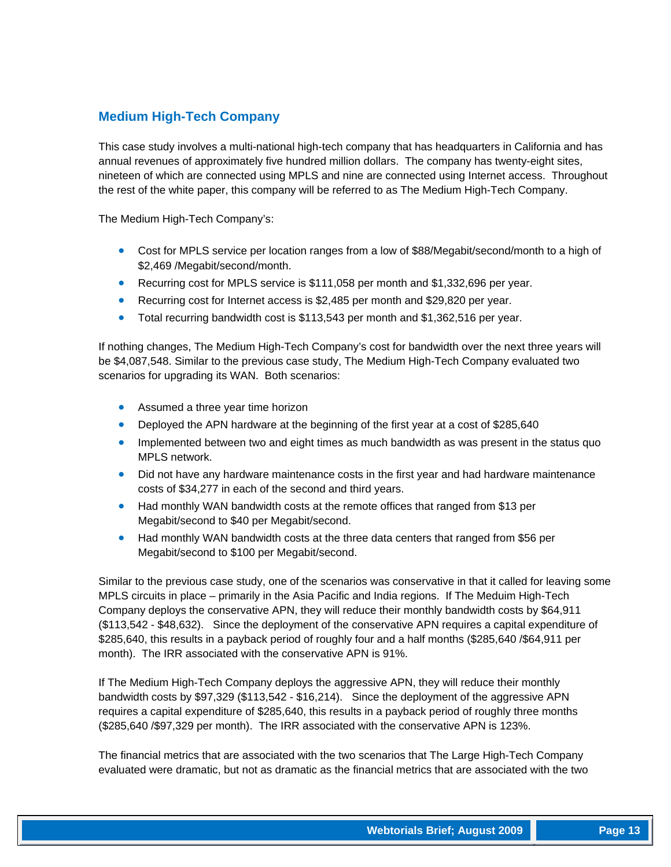#### **Medium High-Tech Company**

This case study involves a multi-national high-tech company that has headquarters in California and has annual revenues of approximately five hundred million dollars. The company has twenty-eight sites, nineteen of which are connected using MPLS and nine are connected using Internet access. Throughout the rest of the white paper, this company will be referred to as The Medium High-Tech Company.

The Medium High-Tech Company's:

- Cost for MPLS service per location ranges from a low of \$88/Megabit/second/month to a high of \$2,469 /Megabit/second/month.
- Recurring cost for MPLS service is \$111,058 per month and \$1,332,696 per year.
- Recurring cost for Internet access is \$2,485 per month and \$29,820 per year.
- Total recurring bandwidth cost is \$113,543 per month and \$1,362,516 per year.

If nothing changes, The Medium High-Tech Company's cost for bandwidth over the next three years will be \$4,087,548. Similar to the previous case study, The Medium High-Tech Company evaluated two scenarios for upgrading its WAN. Both scenarios:

- Assumed a three year time horizon
- Deployed the APN hardware at the beginning of the first year at a cost of \$285,640
- Implemented between two and eight times as much bandwidth as was present in the status quo MPLS network.
- Did not have any hardware maintenance costs in the first year and had hardware maintenance costs of \$34,277 in each of the second and third years.
- Had monthly WAN bandwidth costs at the remote offices that ranged from \$13 per Megabit/second to \$40 per Megabit/second.
- Had monthly WAN bandwidth costs at the three data centers that ranged from \$56 per Megabit/second to \$100 per Megabit/second.

Similar to the previous case study, one of the scenarios was conservative in that it called for leaving some MPLS circuits in place – primarily in the Asia Pacific and India regions. If The Meduim High-Tech Company deploys the conservative APN, they will reduce their monthly bandwidth costs by \$64,911 (\$113,542 - \$48,632). Since the deployment of the conservative APN requires a capital expenditure of \$285,640, this results in a payback period of roughly four and a half months (\$285,640 /\$64,911 per month). The IRR associated with the conservative APN is 91%.

If The Medium High-Tech Company deploys the aggressive APN, they will reduce their monthly bandwidth costs by \$97,329 (\$113,542 - \$16,214). Since the deployment of the aggressive APN requires a capital expenditure of \$285,640, this results in a payback period of roughly three months (\$285,640 /\$97,329 per month). The IRR associated with the conservative APN is 123%.

The financial metrics that are associated with the two scenarios that The Large High-Tech Company evaluated were dramatic, but not as dramatic as the financial metrics that are associated with the two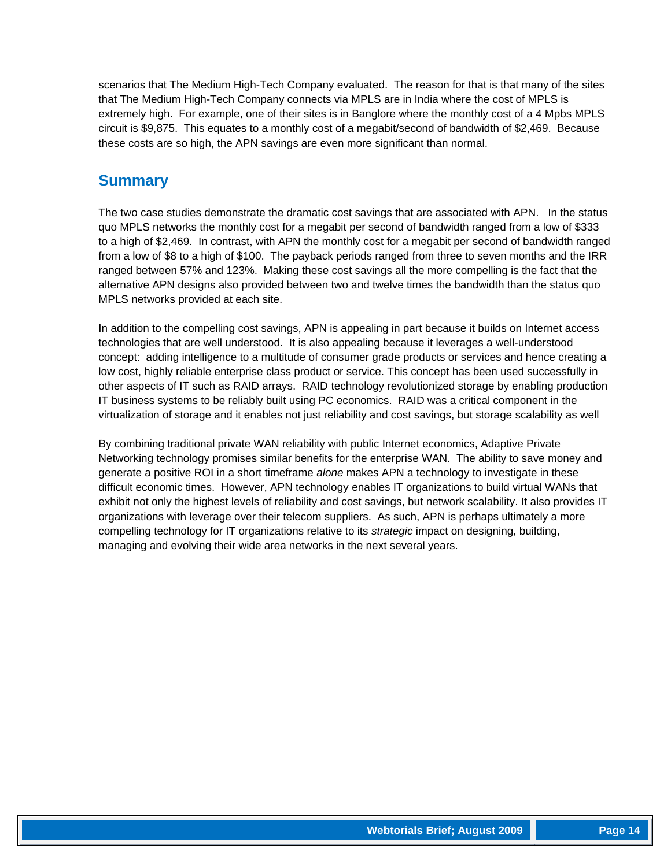scenarios that The Medium High-Tech Company evaluated. The reason for that is that many of the sites that The Medium High-Tech Company connects via MPLS are in India where the cost of MPLS is extremely high. For example, one of their sites is in Banglore where the monthly cost of a 4 Mpbs MPLS circuit is \$9,875. This equates to a monthly cost of a megabit/second of bandwidth of \$2,469. Because these costs are so high, the APN savings are even more significant than normal.

## **Summary**

The two case studies demonstrate the dramatic cost savings that are associated with APN. In the status quo MPLS networks the monthly cost for a megabit per second of bandwidth ranged from a low of \$333 to a high of \$2,469. In contrast, with APN the monthly cost for a megabit per second of bandwidth ranged from a low of \$8 to a high of \$100. The payback periods ranged from three to seven months and the IRR ranged between 57% and 123%. Making these cost savings all the more compelling is the fact that the alternative APN designs also provided between two and twelve times the bandwidth than the status quo MPLS networks provided at each site.

In addition to the compelling cost savings, APN is appealing in part because it builds on Internet access technologies that are well understood. It is also appealing because it leverages a well-understood concept: adding intelligence to a multitude of consumer grade products or services and hence creating a low cost, highly reliable enterprise class product or service. This concept has been used successfully in other aspects of IT such as RAID arrays. RAID technology revolutionized storage by enabling production IT business systems to be reliably built using PC economics. RAID was a critical component in the virtualization of storage and it enables not just reliability and cost savings, but storage scalability as well

By combining traditional private WAN reliability with public Internet economics, Adaptive Private Networking technology promises similar benefits for the enterprise WAN. The ability to save money and generate a positive ROI in a short timeframe *alone* makes APN a technology to investigate in these difficult economic times. However, APN technology enables IT organizations to build virtual WANs that exhibit not only the highest levels of reliability and cost savings, but network scalability. It also provides IT organizations with leverage over their telecom suppliers. As such, APN is perhaps ultimately a more compelling technology for IT organizations relative to its *strategic* impact on designing, building, managing and evolving their wide area networks in the next several years.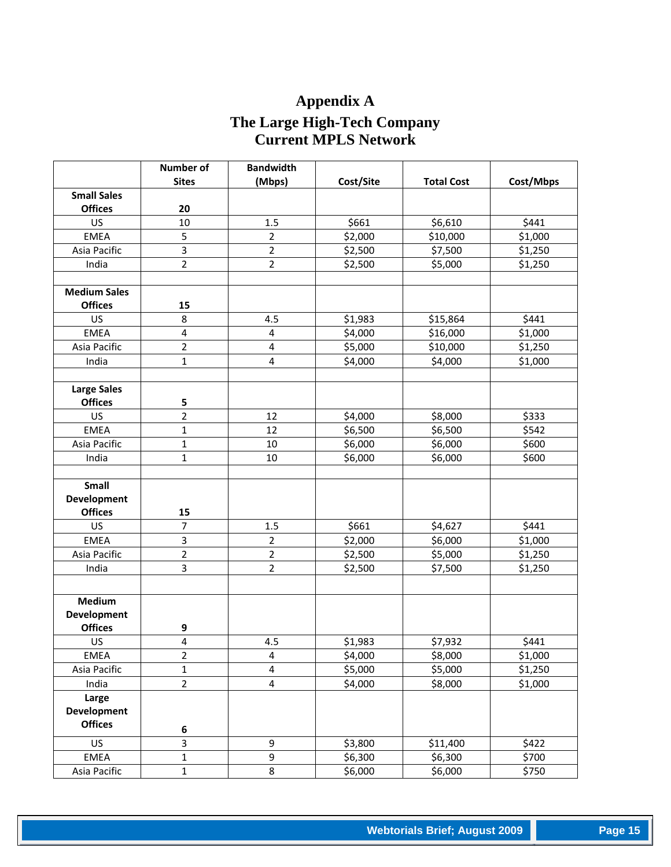# **Appendix A The Large High-Tech Company Current MPLS Network**

|                     | <b>Number of</b> | <b>Bandwidth</b>        |           |                   |           |
|---------------------|------------------|-------------------------|-----------|-------------------|-----------|
|                     | <b>Sites</b>     | (Mbps)                  | Cost/Site | <b>Total Cost</b> | Cost/Mbps |
| <b>Small Sales</b>  |                  |                         |           |                   |           |
| <b>Offices</b>      | 20               |                         |           |                   |           |
| US                  | 10               | 1.5                     | \$661     | \$6,610           | \$441     |
| <b>EMEA</b>         | 5                | $\overline{2}$          | \$2,000   | \$10,000          | \$1,000   |
| Asia Pacific        | 3                | $\overline{2}$          | \$2,500   | \$7,500           | \$1,250   |
| India               | $\overline{2}$   | $\overline{2}$          | \$2,500   | \$5,000           | \$1,250   |
|                     |                  |                         |           |                   |           |
| <b>Medium Sales</b> |                  |                         |           |                   |           |
| <b>Offices</b>      | 15               |                         |           |                   |           |
| US                  | 8                | 4.5                     | \$1,983   | \$15,864          | \$441     |
| <b>EMEA</b>         | 4                | $\overline{\mathbf{4}}$ | \$4,000   | \$16,000          | \$1,000   |
| Asia Pacific        | $\overline{2}$   | $\overline{\mathbf{4}}$ | \$5,000   | \$10,000          | \$1,250   |
| India               | $\mathbf{1}$     | 4                       | \$4,000   | \$4,000           | \$1,000   |
|                     |                  |                         |           |                   |           |
| <b>Large Sales</b>  |                  |                         |           |                   |           |
| <b>Offices</b>      | 5                |                         |           |                   |           |
| US                  | $\overline{2}$   | 12                      | \$4,000   | \$8,000           | \$333     |
| <b>EMEA</b>         | $\mathbf{1}$     | 12                      | \$6,500   | \$6,500           | \$542     |
| Asia Pacific        | $\mathbf{1}$     | 10                      | \$6,000   | \$6,000           | \$600     |
| India               | $\mathbf{1}$     | 10                      | \$6,000   | \$6,000           | \$600     |
|                     |                  |                         |           |                   |           |
| Small               |                  |                         |           |                   |           |
| <b>Development</b>  |                  |                         |           |                   |           |
| <b>Offices</b>      | 15               |                         |           |                   |           |
| US                  | 7                | 1.5                     | \$661     | \$4,627           | \$441     |
| <b>EMEA</b>         | 3                | $\overline{2}$          | \$2,000   | \$6,000           | \$1,000   |
| Asia Pacific        | $\overline{2}$   | $\overline{2}$          | \$2,500   | \$5,000           | \$1,250   |
| India               | 3                | $\overline{2}$          | \$2,500   | \$7,500           | \$1,250   |
|                     |                  |                         |           |                   |           |
| <b>Medium</b>       |                  |                         |           |                   |           |
| <b>Development</b>  |                  |                         |           |                   |           |
| <b>Offices</b>      | 9                |                         |           |                   |           |
| US                  | $\overline{4}$   | 4.5                     | \$1,983   | \$7,932           | \$441     |
| EMEA                | 2                | 4                       | \$4,000   | \$8,000           | \$1,000   |
| Asia Pacific        | $\mathbf{1}$     | $\overline{\mathbf{4}}$ | \$5,000   | \$5,000           | \$1,250   |
| India               | $\overline{2}$   | $\overline{\mathbf{4}}$ | \$4,000   | \$8,000           | \$1,000   |
| Large               |                  |                         |           |                   |           |
| Development         |                  |                         |           |                   |           |
| <b>Offices</b>      |                  |                         |           |                   |           |
|                     | $\bf 6$          |                         |           |                   |           |
| US                  | 3                | 9                       | \$3,800   | \$11,400          | \$422     |
| <b>EMEA</b>         | $\mathbf{1}$     | 9                       | \$6,300   | \$6,300           | \$700     |
| Asia Pacific        | $\mathbf 1$      | 8                       | \$6,000   | \$6,000           | \$750     |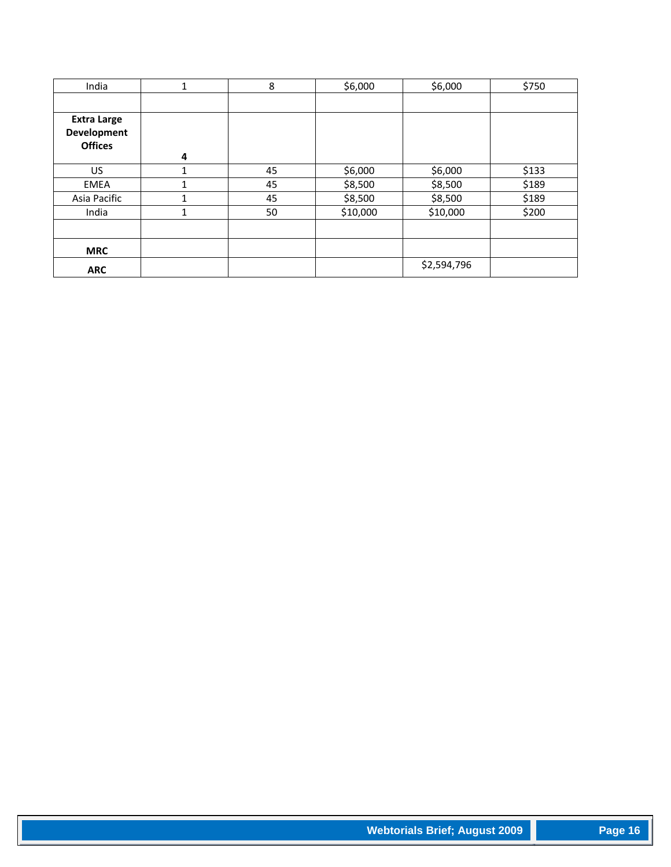| India                                               | 1            | 8  | \$6,000  | \$6,000     | \$750 |
|-----------------------------------------------------|--------------|----|----------|-------------|-------|
|                                                     |              |    |          |             |       |
| <b>Extra Large</b><br>Development<br><b>Offices</b> | 4            |    |          |             |       |
| US                                                  | 1            | 45 | \$6,000  | \$6,000     | \$133 |
| EMEA                                                |              | 45 | \$8,500  | \$8,500     | \$189 |
| Asia Pacific                                        | $\mathbf{1}$ | 45 | \$8,500  | \$8,500     | \$189 |
| India                                               | 1            | 50 | \$10,000 | \$10,000    | \$200 |
|                                                     |              |    |          |             |       |
| <b>MRC</b>                                          |              |    |          |             |       |
| <b>ARC</b>                                          |              |    |          | \$2,594,796 |       |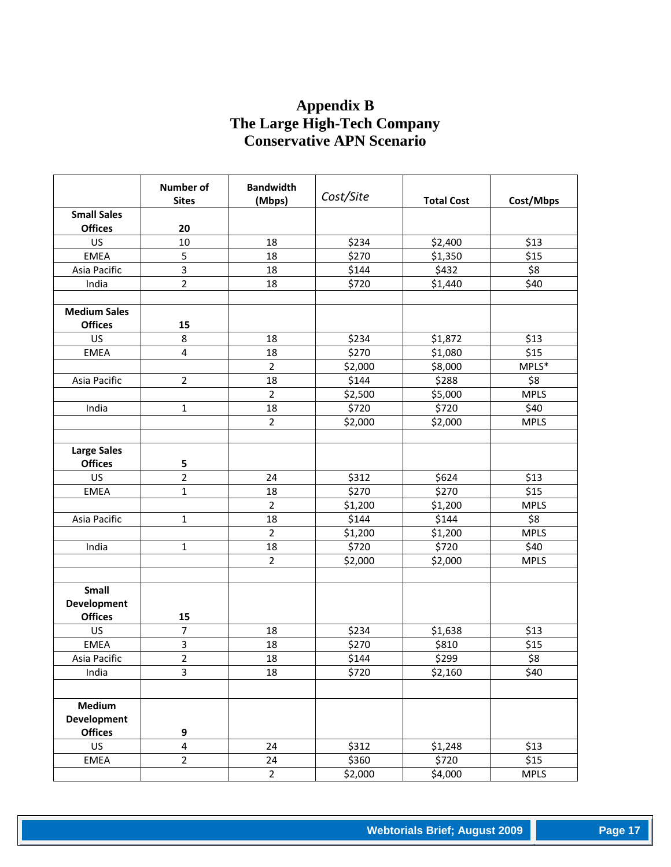## **Appendix B The Large High-Tech Company Conservative APN Scenario**

|                     | <b>Number of</b><br><b>Sites</b> | <b>Bandwidth</b><br>(Mbps) | Cost/Site | <b>Total Cost</b> | Cost/Mbps   |
|---------------------|----------------------------------|----------------------------|-----------|-------------------|-------------|
| <b>Small Sales</b>  |                                  |                            |           |                   |             |
| <b>Offices</b>      | 20                               |                            |           |                   |             |
| US                  | 10                               | 18                         | \$234     | \$2,400           | \$13        |
| <b>EMEA</b>         | 5                                | 18                         | \$270     | \$1,350           | \$15        |
| Asia Pacific        | $\overline{3}$                   | 18                         | \$144     | \$432             | \$8         |
| India               | $\overline{2}$                   | 18                         | \$720     | \$1,440           | \$40        |
|                     |                                  |                            |           |                   |             |
| <b>Medium Sales</b> |                                  |                            |           |                   |             |
| <b>Offices</b>      | 15                               |                            |           |                   |             |
| US                  | 8                                | 18                         | \$234     | \$1,872           | \$13        |
| EMEA                | $\overline{4}$                   | 18                         | \$270     | \$1,080           | \$15        |
|                     |                                  | $\overline{2}$             | \$2,000   | \$8,000           | $MPLS*$     |
| Asia Pacific        | $\overline{2}$                   | 18                         | \$144     | \$288             | \$8         |
|                     |                                  | $\overline{2}$             | \$2,500   | \$5,000           | <b>MPLS</b> |
| India               | $\mathbf{1}$                     | 18                         | \$720     | \$720             | \$40        |
|                     |                                  | $\overline{2}$             | \$2,000   | \$2,000           | <b>MPLS</b> |
|                     |                                  |                            |           |                   |             |
| Large Sales         |                                  |                            |           |                   |             |
| <b>Offices</b>      | 5                                |                            |           |                   |             |
| <b>US</b>           | $\overline{2}$                   | 24                         | \$312     | \$624             | \$13        |
| EMEA                | $\mathbf{1}$                     | 18                         | \$270     | \$270             | \$15        |
|                     |                                  | $\overline{2}$             | \$1,200   | \$1,200           | <b>MPLS</b> |
| Asia Pacific        | $\mathbf{1}$                     | 18                         | \$144     | \$144             | \$8         |
|                     |                                  | $\overline{2}$             | \$1,200   | \$1,200           | <b>MPLS</b> |
| India               | 1                                | 18                         | \$720     | \$720             | \$40        |
|                     |                                  | $\overline{2}$             | \$2,000   | \$2,000           | <b>MPLS</b> |
|                     |                                  |                            |           |                   |             |
| Small               |                                  |                            |           |                   |             |
| <b>Development</b>  |                                  |                            |           |                   |             |
| <b>Offices</b>      | 15                               |                            |           |                   |             |
| US                  | $\overline{7}$                   | 18                         | \$234     | \$1,638           | \$13        |
| <b>EMEA</b>         | 3                                | 18                         | \$270     | \$810             | \$15        |
| Asia Pacific        | 2                                | 18                         | \$144     | \$299             | \$8         |
| India               | 3                                | 18                         | \$720     | \$2,160           | \$40        |
|                     |                                  |                            |           |                   |             |
|                     |                                  |                            |           |                   |             |
| Medium              |                                  |                            |           |                   |             |
| <b>Development</b>  |                                  |                            |           |                   |             |
| <b>Offices</b>      | 9                                |                            |           |                   |             |
| US                  | 4                                | 24                         | \$312     | \$1,248           | \$13        |
| EMEA                | $\overline{2}$                   | 24                         | \$360     | \$720             | \$15        |
|                     |                                  | $\overline{2}$             | \$2,000   | \$4,000           | <b>MPLS</b> |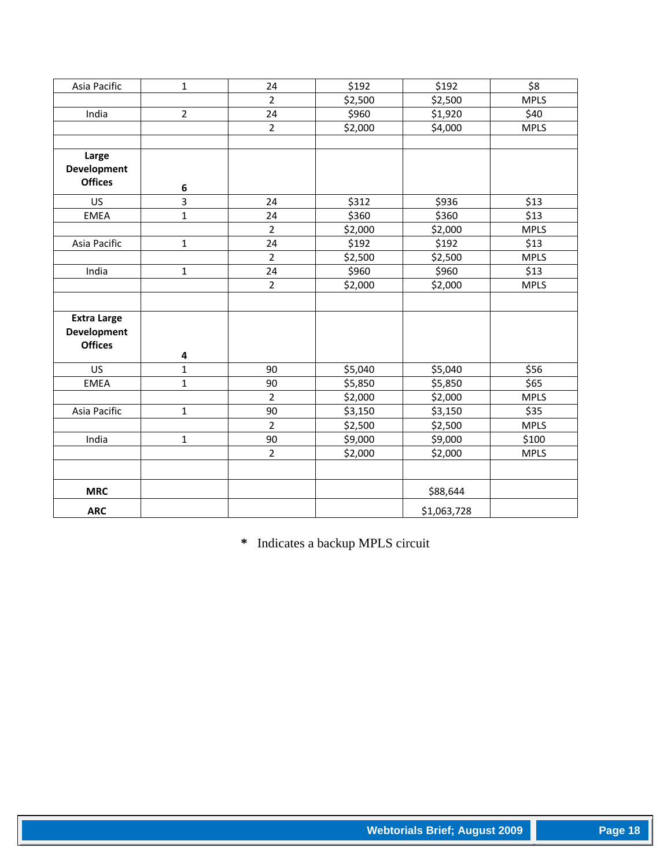| Asia Pacific       | $\mathbf{1}$   | 24             | \$192   | \$192       | \$8         |
|--------------------|----------------|----------------|---------|-------------|-------------|
|                    |                | $\overline{2}$ | \$2,500 | \$2,500     | <b>MPLS</b> |
| India              | $\overline{2}$ | 24             | \$960   | \$1,920     | \$40        |
|                    |                | $\overline{2}$ | \$2,000 | \$4,000     | <b>MPLS</b> |
|                    |                |                |         |             |             |
| Large              |                |                |         |             |             |
| <b>Development</b> |                |                |         |             |             |
| <b>Offices</b>     | $\bf 6$        |                |         |             |             |
| US                 | 3              | 24             | \$312   | \$936       | \$13        |
| <b>EMEA</b>        | $\mathbf{1}$   | 24             | \$360   | \$360       | \$13        |
|                    |                | $\overline{2}$ | \$2,000 | \$2,000     | <b>MPLS</b> |
| Asia Pacific       | $\mathbf{1}$   | 24             | \$192   | \$192       | \$13        |
|                    |                | $\overline{2}$ | \$2,500 | \$2,500     | <b>MPLS</b> |
| India              | $\mathbf{1}$   | 24             | \$960   | \$960       | \$13        |
|                    |                | $\overline{2}$ | \$2,000 | \$2,000     | <b>MPLS</b> |
|                    |                |                |         |             |             |
| <b>Extra Large</b> |                |                |         |             |             |
| <b>Development</b> |                |                |         |             |             |
| <b>Offices</b>     |                |                |         |             |             |
|                    | 4              |                |         |             |             |
| <b>US</b>          | $\mathbf{1}$   | 90             | \$5,040 | \$5,040     | \$56        |
| <b>EMEA</b>        | $\mathbf{1}$   | 90             | \$5,850 | \$5,850     | \$65        |
|                    |                | $\overline{2}$ | \$2,000 | \$2,000     | <b>MPLS</b> |
| Asia Pacific       | $\mathbf{1}$   | 90             | \$3,150 | \$3,150     | \$35        |
|                    |                | $\overline{2}$ | \$2,500 | \$2,500     | <b>MPLS</b> |
| India              | $\mathbf{1}$   | 90             | \$9,000 | \$9,000     | \$100       |
|                    |                | $\overline{2}$ | \$2,000 | \$2,000     | <b>MPLS</b> |
|                    |                |                |         |             |             |
| <b>MRC</b>         |                |                |         | \$88,644    |             |
| <b>ARC</b>         |                |                |         | \$1,063,728 |             |

**\*** Indicates a backup MPLS circuit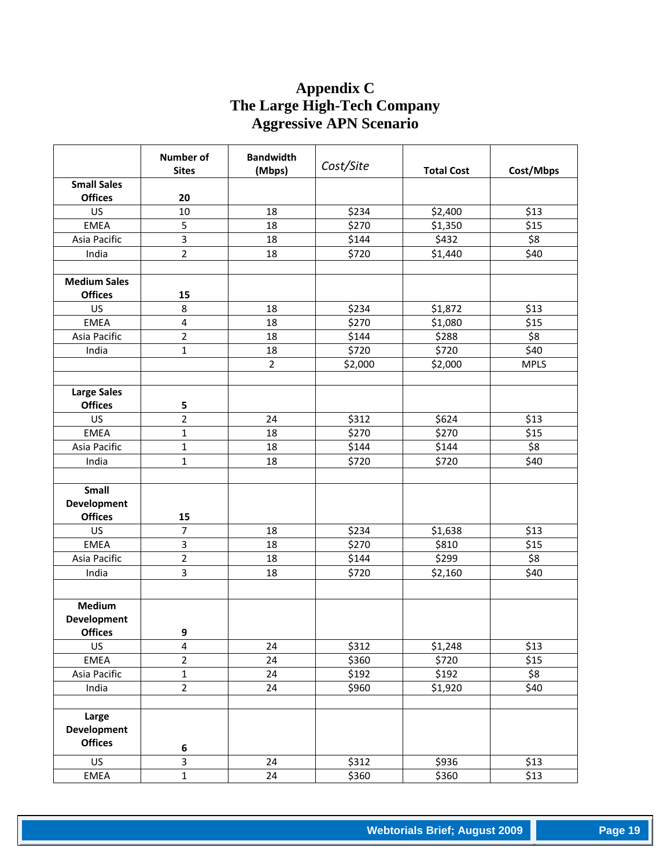## **Appendix C The Large High-Tech Company Aggressive APN Scenario**

|                     | <b>Number of</b><br><b>Sites</b> | <b>Bandwidth</b><br>(Mbps) | Cost/Site                   | <b>Total Cost</b> | Cost/Mbps   |
|---------------------|----------------------------------|----------------------------|-----------------------------|-------------------|-------------|
| <b>Small Sales</b>  |                                  |                            |                             |                   |             |
| <b>Offices</b>      | 20                               |                            |                             |                   |             |
| US                  | 10                               | 18                         | \$234                       | \$2,400           | \$13        |
| <b>EMEA</b>         | 5                                | 18                         | \$270                       | \$1,350           | \$15        |
| Asia Pacific        | 3                                | 18                         | \$144                       | \$432             | \$8         |
| India               | $\overline{2}$                   | 18                         | \$720                       | \$1,440           | \$40        |
|                     |                                  |                            |                             |                   |             |
| <b>Medium Sales</b> |                                  |                            |                             |                   |             |
| <b>Offices</b>      | 15                               |                            |                             |                   |             |
| US                  | 8                                | 18                         | \$234                       | \$1,872           | \$13        |
| <b>EMEA</b>         | 4                                | 18                         | \$270                       | \$1,080           | \$15        |
| Asia Pacific        | $\overline{2}$                   | 18                         | \$144                       | \$288             | \$8         |
| India               | $\mathbf{1}$                     | 18                         | \$720                       | \$720             | \$40        |
|                     |                                  | $\overline{2}$             | \$2,000                     | \$2,000           | <b>MPLS</b> |
|                     |                                  |                            |                             |                   |             |
| <b>Large Sales</b>  |                                  |                            |                             |                   |             |
| <b>Offices</b>      | 5                                |                            |                             |                   |             |
| <b>US</b>           | $\overline{2}$                   | 24                         | \$312                       | \$624             | \$13        |
| <b>EMEA</b>         | $\mathbf{1}$                     | 18                         | \$270                       | \$270             | \$15        |
| Asia Pacific        | $\mathbf{1}$                     | 18                         | \$144                       | \$144             | \$8         |
| India               | $\mathbf{1}$                     | 18                         | \$720                       | \$720             | \$40        |
|                     |                                  |                            |                             |                   |             |
| Small               |                                  |                            |                             |                   |             |
| <b>Development</b>  |                                  |                            |                             |                   |             |
| <b>Offices</b>      | 15                               |                            |                             |                   |             |
| US                  | $\overline{7}$                   | 18                         | \$234                       | \$1,638           | \$13        |
| <b>EMEA</b>         | 3                                | 18                         | \$270                       | \$810             | \$15        |
| Asia Pacific        | $\overline{2}$                   | 18                         | \$144                       | \$299             | \$8         |
| India               | $\overline{\mathbf{3}}$          | 18                         | \$720                       | \$2,160           | \$40        |
|                     |                                  |                            |                             |                   |             |
| Medium              |                                  |                            |                             |                   |             |
| Development         |                                  |                            |                             |                   |             |
| <b>Offices</b>      | 9                                |                            |                             |                   |             |
| US                  | 4                                | 24                         | \$312                       | \$1,248           | \$13        |
| <b>EMEA</b>         | $\overline{2}$                   | 24                         | \$360                       | \$720             | \$15        |
| Asia Pacific        | $\mathbf{1}$                     | 24                         | \$192                       | \$192             | \$8         |
| India               | $\overline{2}$                   | 24                         | \$960                       | \$1,920           | \$40        |
|                     |                                  |                            |                             |                   |             |
| Large               |                                  |                            |                             |                   |             |
| <b>Development</b>  |                                  |                            |                             |                   |             |
| <b>Offices</b>      | 6                                |                            |                             |                   |             |
| US                  | 3                                | 24                         | $\overline{\frac{1}{5}}312$ | \$936             | \$13        |
| EMEA                | $\mathbf{1}$                     | 24                         | \$360                       | \$360             | \$13        |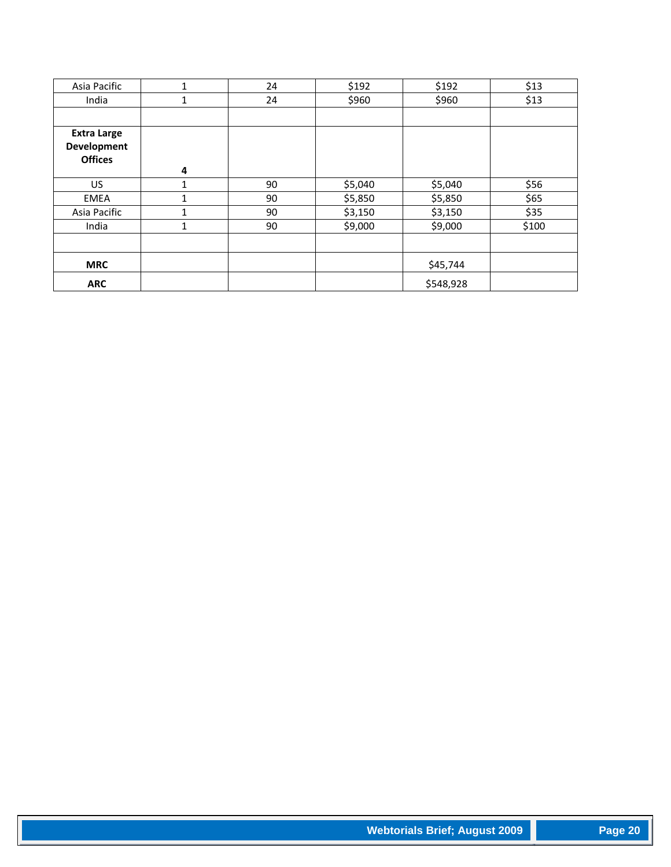| Asia Pacific       | 1            | 24 | \$192   | \$192     | \$13  |
|--------------------|--------------|----|---------|-----------|-------|
| India              | 1            | 24 | \$960   | \$960     | \$13  |
|                    |              |    |         |           |       |
| <b>Extra Large</b> |              |    |         |           |       |
| <b>Development</b> |              |    |         |           |       |
| <b>Offices</b>     |              |    |         |           |       |
|                    | 4            |    |         |           |       |
| US                 | 1            | 90 | \$5,040 | \$5,040   | \$56  |
| EMEA               | 1            | 90 | \$5,850 | \$5,850   | \$65  |
| Asia Pacific       | $\mathbf{1}$ | 90 | \$3,150 | \$3,150   | \$35  |
| India              | 1            | 90 | \$9,000 | \$9,000   | \$100 |
|                    |              |    |         |           |       |
| <b>MRC</b>         |              |    |         | \$45,744  |       |
| <b>ARC</b>         |              |    |         | \$548,928 |       |